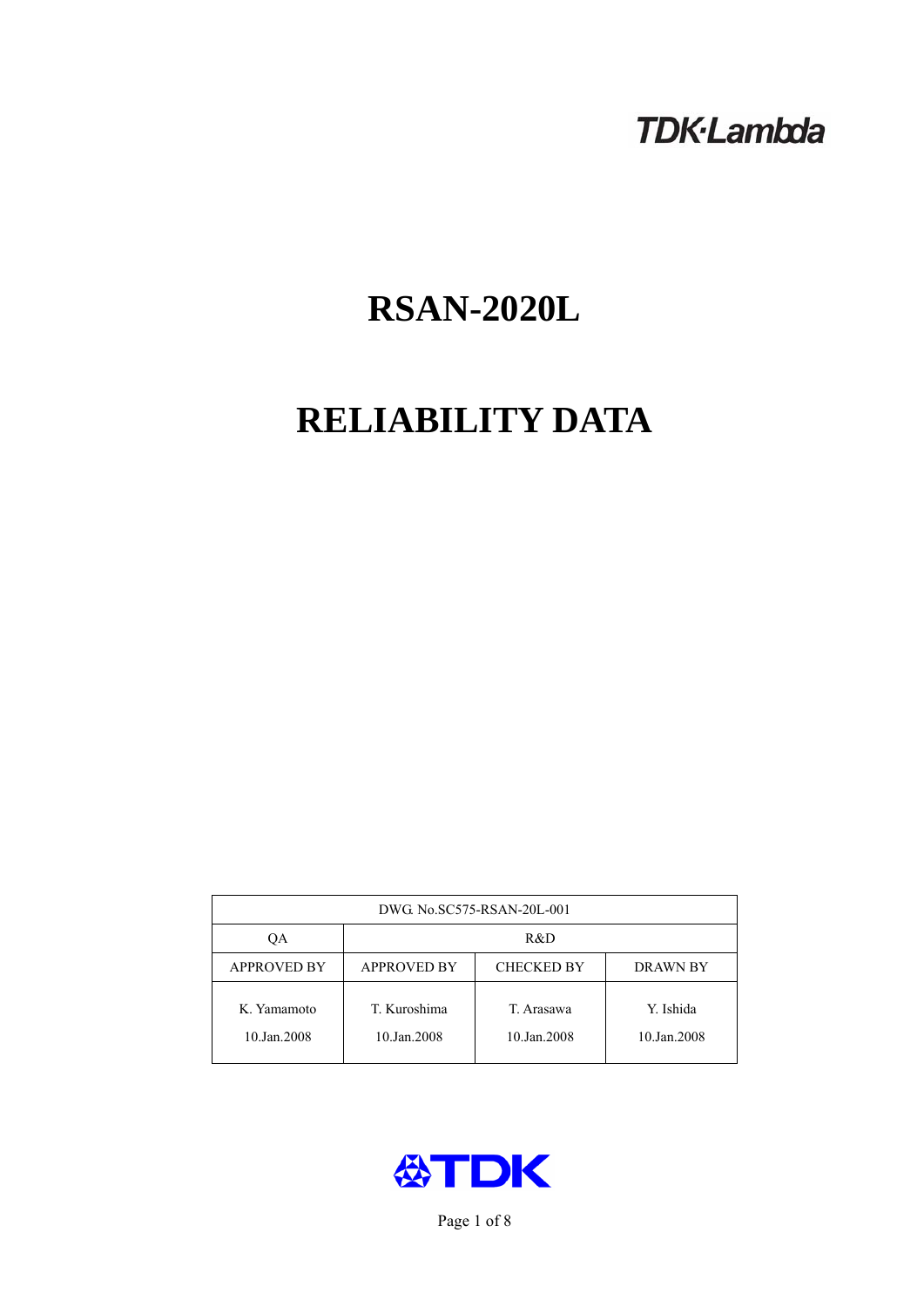# **TDK-Lambda**

# **RSAN-2020L**

# **RELIABILITY DATA**

| DWG. No.SC575-RSAN-20L-001 |                                                     |                           |                          |  |  |
|----------------------------|-----------------------------------------------------|---------------------------|--------------------------|--|--|
| OА                         | R&D                                                 |                           |                          |  |  |
| <b>APPROVED BY</b>         | <b>APPROVED BY</b><br><b>CHECKED BY</b><br>DRAWN BY |                           |                          |  |  |
| K. Yamamoto<br>10.Jan.2008 | T. Kuroshima<br>10.Jan.2008                         | T. Arasawa<br>10.Jan.2008 | Y. Ishida<br>10.Jan.2008 |  |  |



Page 1 of 8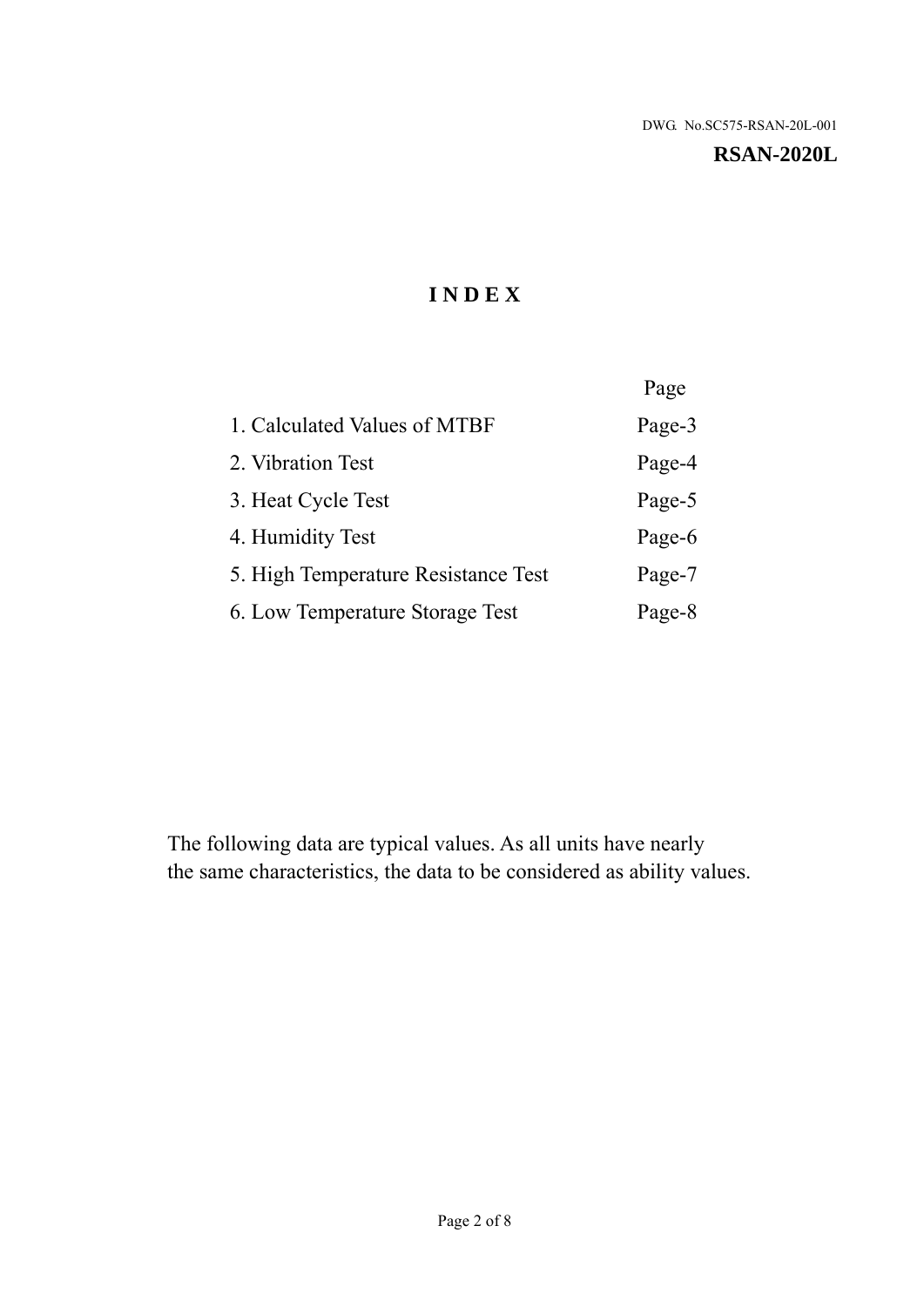#### **RSAN-2020L**

# **I N D E X**

|                                     | Page   |
|-------------------------------------|--------|
| 1. Calculated Values of MTBF        | Page-3 |
| 2. Vibration Test                   | Page-4 |
| 3. Heat Cycle Test                  | Page-5 |
| 4. Humidity Test                    | Page-6 |
| 5. High Temperature Resistance Test | Page-7 |
| 6. Low Temperature Storage Test     | Page-8 |

The following data are typical values. As all units have nearly the same characteristics, the data to be considered as ability values.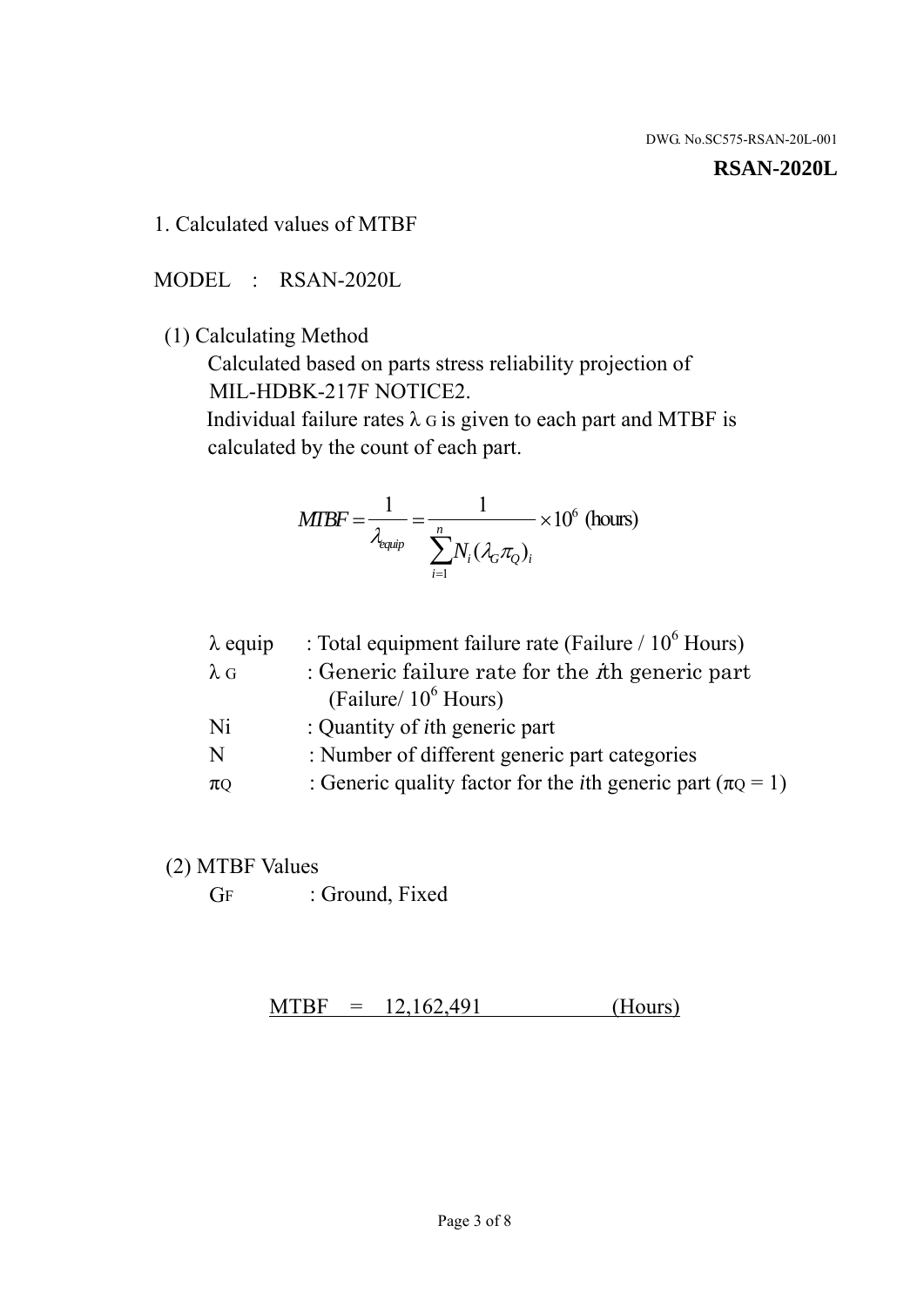#### **RSAN-2020L**

1. Calculated values of MTBF

MODEL : RSAN-2020L

(1) Calculating Method

 Calculated based on parts stress reliability projection of MIL-HDBK-217F NOTICE2.

Individual failure rates  $\lambda$  G is given to each part and MTBF is calculated by the count of each part.

$$
MIBF = \frac{1}{\lambda_{\text{equip}}} = \frac{1}{\sum_{i=1}^{n} N_i (\lambda_G \pi_Q)_i} \times 10^6 \text{ (hours)}
$$

| $\lambda$ equip | : Total equipment failure rate (Failure $/ 10^6$ Hours)                   |
|-----------------|---------------------------------------------------------------------------|
| $\lambda$ G     | : Generic failure rate for the $\hbar$ generic part                       |
|                 | (Failure/ $10^6$ Hours)                                                   |
| Ni              | : Quantity of <i>i</i> th generic part                                    |
| N               | : Number of different generic part categories                             |
| $\pi$ Q         | : Generic quality factor for the <i>i</i> th generic part ( $\pi Q = 1$ ) |

- (2) MTBF Values
	- GF : Ground, Fixed

 $MTBF = 12,162,491$  (Hours)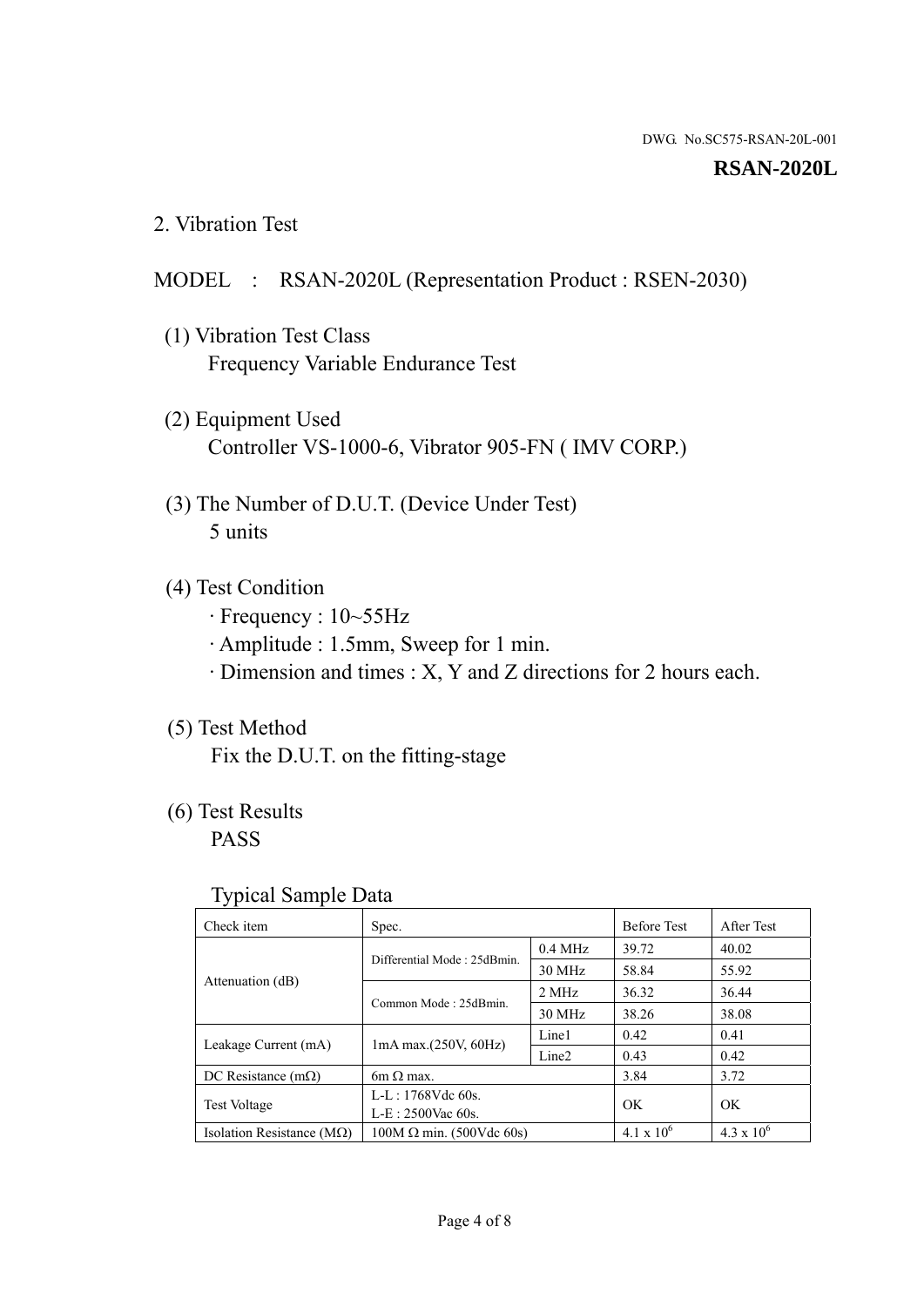#### **RSAN-2020L**

2. Vibration Test

## MODEL : RSAN-2020L (Representation Product : RSEN-2030)

- (1) Vibration Test Class Frequency Variable Endurance Test
- (2) Equipment Used Controller VS-1000-6, Vibrator 905-FN ( IMV CORP.)
- (3) The Number of D.U.T. (Device Under Test) 5 units
- (4) Test Condition
	- · Frequency : 10~55Hz
	- · Amplitude : 1.5mm, Sweep for 1 min.
	- · Dimension and times : X, Y and Z directions for 2 hours each.

# (5) Test Method

Fix the D.U.T. on the fitting-stage

# (6) Test Results

PASS

#### Typical Sample Data

| . .                           |                                                         |           |                     |                     |
|-------------------------------|---------------------------------------------------------|-----------|---------------------|---------------------|
| Check item                    | Spec.                                                   |           | <b>Before Test</b>  | After Test          |
|                               | Differential Mode: 25dBmin.                             | $0.4$ MHz | 39.72               | 40.02               |
|                               |                                                         | 30 MHz    | 58.84               | 55.92               |
| Attenuation (dB)              | Common Mode: 25dBmin.                                   | 2 MHz     | 36.32               | 36.44               |
|                               |                                                         | 30 MHz    | 38.26               | 38.08               |
| Leakage Current (mA)          | Line1<br>$1mA$ max. $(250V, 60Hz)$<br>Line <sub>2</sub> |           | 0.42                | 0.41                |
|                               |                                                         |           | 0.43                | 0.42                |
| DC Resistance $(m\Omega)$     | $6m \Omega$ max.                                        |           | 3.84                | 3.72                |
| <b>Test Voltage</b>           | $L-L: 1768Vdc$ 60s.                                     |           | OK                  | OK.                 |
|                               | $L-E$ : 2500Vac 60s.                                    |           |                     |                     |
| Isolation Resistance ( $MQ$ ) | $100M \Omega$ min. (500Vdc 60s)                         |           | $4.1 \times 10^{6}$ | $4.3 \times 10^{6}$ |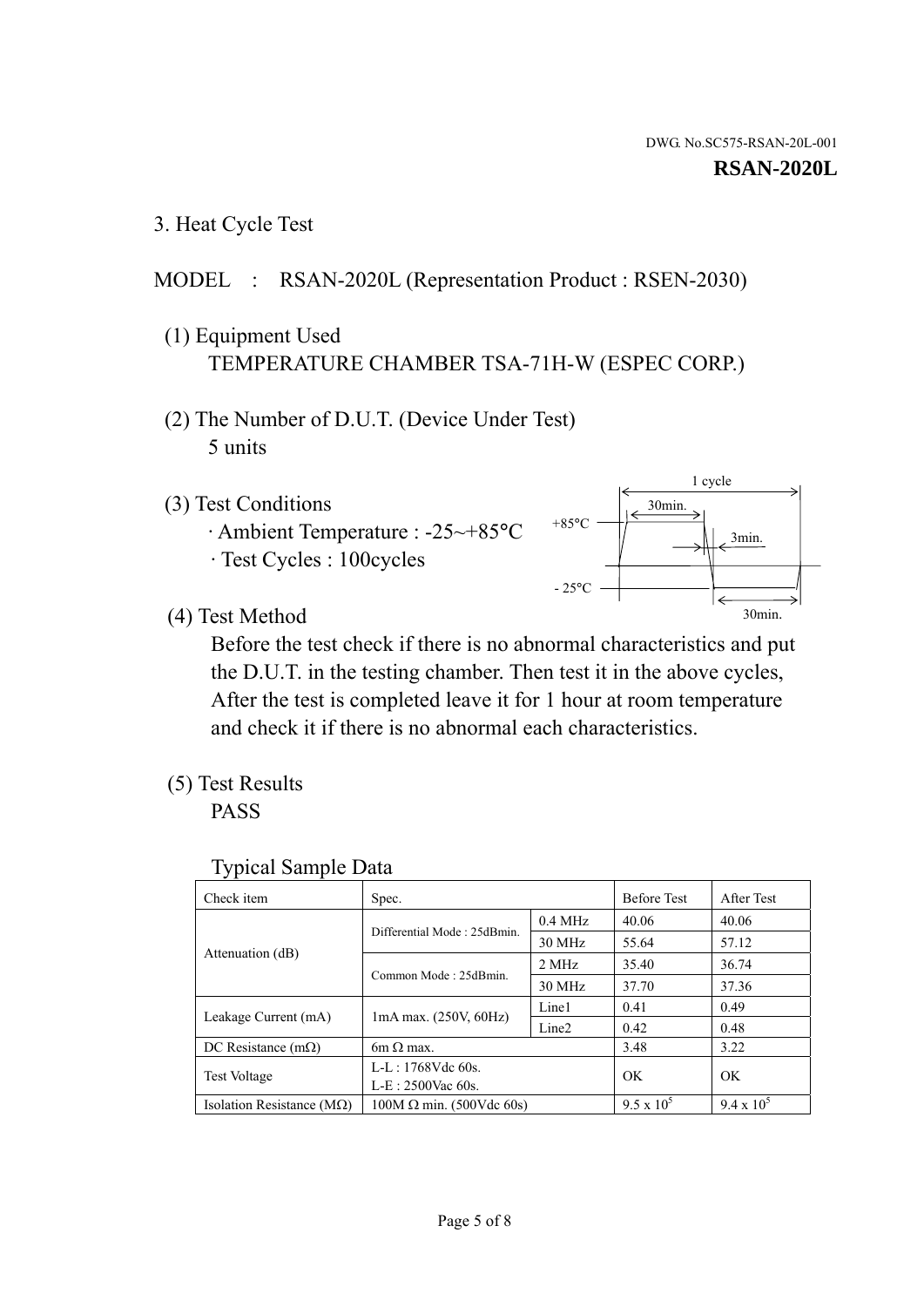3. Heat Cycle Test

# MODEL : RSAN-2020L (Representation Product : RSEN-2030)

- (1) Equipment Used TEMPERATURE CHAMBER TSA-71H-W (ESPEC CORP.)
- (2) The Number of D.U.T. (Device Under Test) 5 units
- (3) Test Conditions
	- · Ambient Temperature : -25~+85°C · Test Cycles : 100cycles



(4) Test Method

 Before the test check if there is no abnormal characteristics and put the D.U.T. in the testing chamber. Then test it in the above cycles, After the test is completed leave it for 1 hour at room temperature and check it if there is no abnormal each characteristics.

(5) Test Results

PASS

| <b>Typical Sample Data</b> |  |  |
|----------------------------|--|--|
|----------------------------|--|--|

| Check item                    | Spec.                           |                     | <b>Before Test</b> | After Test        |
|-------------------------------|---------------------------------|---------------------|--------------------|-------------------|
|                               | Differential Mode: 25dBmin.     | $0.4\ \mathrm{MHz}$ | 40.06              | 40.06             |
|                               |                                 | 30 MHz              | 55.64              | 57.12             |
| Attenuation (dB)              | Common Mode: 25dBmin.           | 2 MHz               | 35.40              | 36.74             |
|                               |                                 | 30 MHz              | 37.70              | 37.36             |
| Leakage Current (mA)          |                                 | Line1               | 0.41               | 0.49              |
|                               | $1mA$ max. $(250V, 60Hz)$       | Line <sub>2</sub>   | 0.42               | 0.48              |
| DC Resistance $(m\Omega)$     | $6m \Omega$ max.                |                     | 3.48               | 3.22              |
| <b>Test Voltage</b>           | L-L: 1768Vdc 60s.               |                     | OK                 | OK                |
|                               | $L-E: 2500$ Vac 60s.            |                     |                    |                   |
| Isolation Resistance ( $MQ$ ) | $100M \Omega$ min. (500Vdc 60s) |                     | $9.5 \times 10^5$  | $9.4 \times 10^5$ |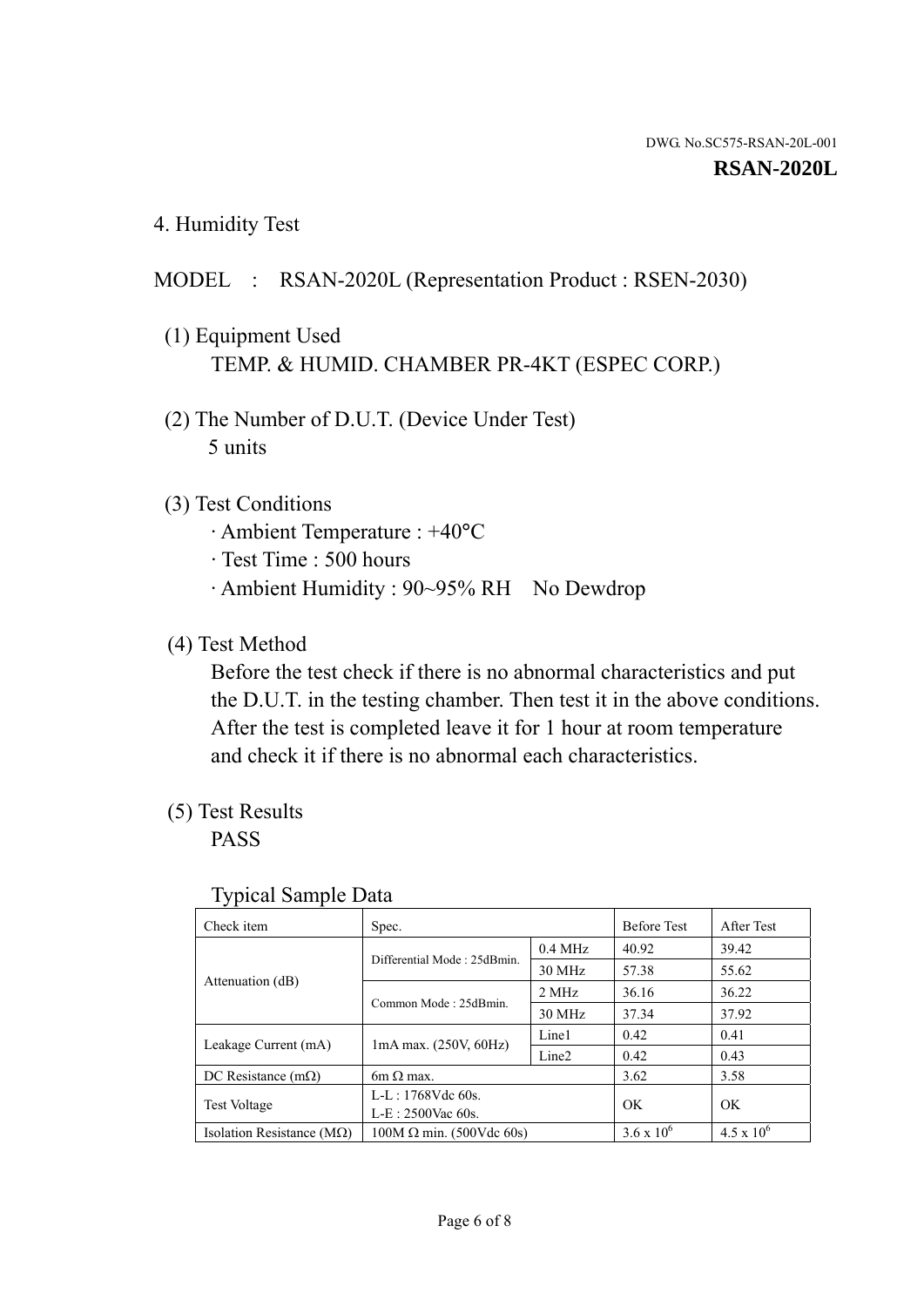4. Humidity Test

# MODEL : RSAN-2020L (Representation Product : RSEN-2030)

- (1) Equipment Used TEMP. & HUMID. CHAMBER PR-4KT (ESPEC CORP.)
- (2) The Number of D.U.T. (Device Under Test) 5 units

### (3) Test Conditions

- · Ambient Temperature : +40°C
- · Test Time : 500 hours
- · Ambient Humidity : 90~95% RH No Dewdrop

## (4) Test Method

 Before the test check if there is no abnormal characteristics and put the D.U.T. in the testing chamber. Then test it in the above conditions. After the test is completed leave it for 1 hour at room temperature and check it if there is no abnormal each characteristics.

# (5) Test Results

PASS

| . .                                |                                 |                   |                     |                     |
|------------------------------------|---------------------------------|-------------------|---------------------|---------------------|
| Check item                         | Spec.                           |                   | <b>Before Test</b>  | After Test          |
|                                    | Differential Mode: 25dBmin.     | $0.4$ MHz         | 40.92               | 39.42               |
|                                    |                                 | 30 MHz            | 57.38               | 55.62               |
| Attenuation (dB)                   | Common Mode: 25dBmin.           | 2 MHz             | 36.16               | 36.22               |
|                                    |                                 | 30 MHz            | 37.34               | 37.92               |
| Leakage Current (mA)               | $1mA$ max. $(250V, 60Hz)$       | Line1             | 0.42                | 0.41                |
|                                    |                                 | Line <sub>2</sub> | 0.42                | 0.43                |
| DC Resistance $(m\Omega)$          | 6m $\Omega$ max.                |                   | 3.62                | 3.58                |
| <b>Test Voltage</b>                | $L-L: 1768Vdc$ 60s.             |                   | OK                  | OK                  |
|                                    | $L-E: 2500$ Vac 60s.            |                   |                     |                     |
| Isolation Resistance ( $M\Omega$ ) | $100M \Omega$ min. (500Vdc 60s) |                   | $3.6 \times 10^{6}$ | $4.5 \times 10^{6}$ |

#### Typical Sample Data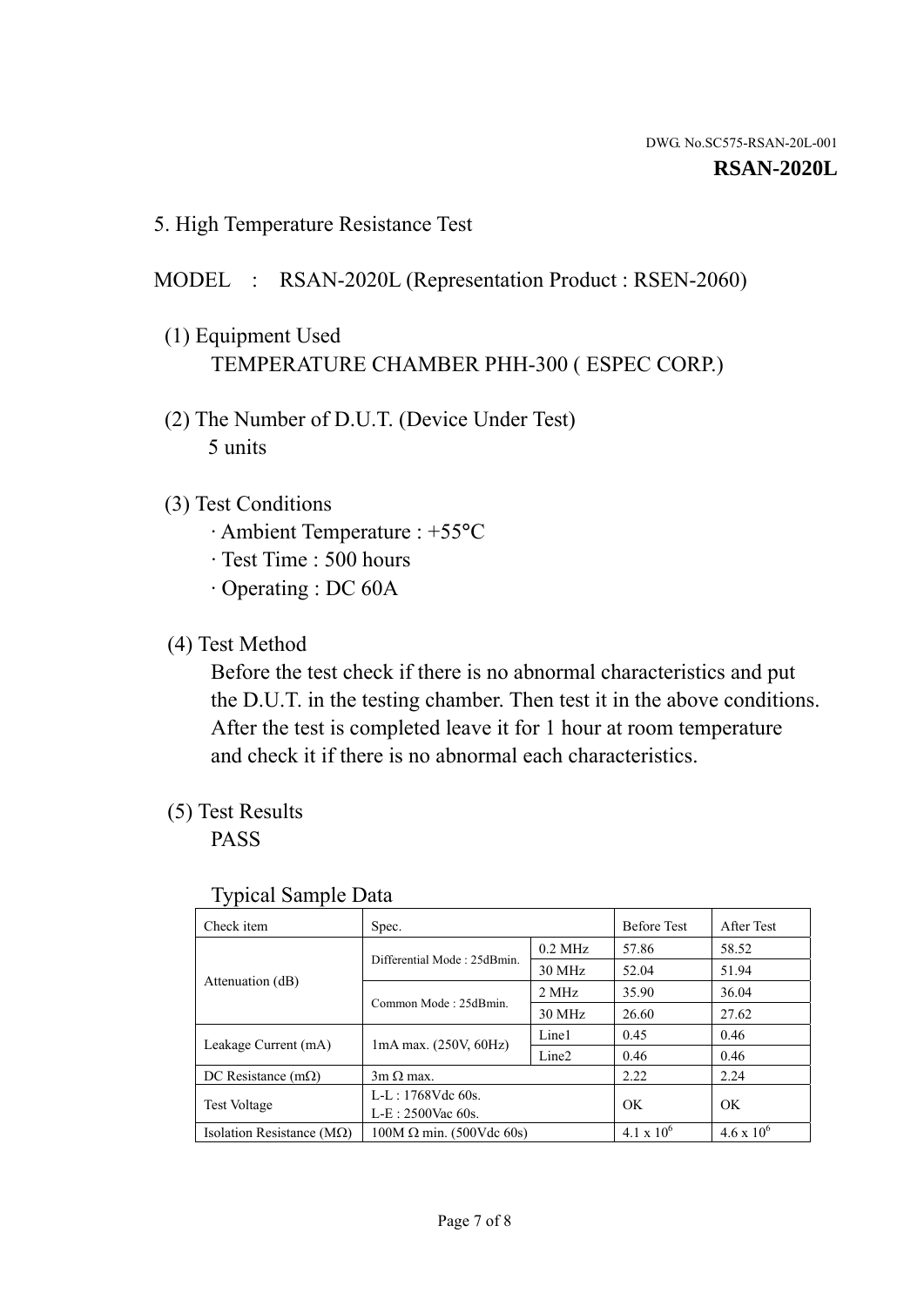5. High Temperature Resistance Test

## MODEL : RSAN-2020L (Representation Product : RSEN-2060)

- (1) Equipment Used TEMPERATURE CHAMBER PHH-300 ( ESPEC CORP.)
- (2) The Number of D.U.T. (Device Under Test) 5 units
- (3) Test Conditions
	- · Ambient Temperature : +55°C
	- · Test Time : 500 hours
	- · Operating : DC 60A
- (4) Test Method

 Before the test check if there is no abnormal characteristics and put the D.U.T. in the testing chamber. Then test it in the above conditions. After the test is completed leave it for 1 hour at room temperature and check it if there is no abnormal each characteristics.

(5) Test Results

PASS

| ╯┸                                 |                                                         |           |                     |                     |
|------------------------------------|---------------------------------------------------------|-----------|---------------------|---------------------|
| Check item                         | Spec.                                                   |           | <b>Before Test</b>  | After Test          |
|                                    | Differential Mode: 25dBmin.                             | $0.2$ MHz | 57.86               | 58.52               |
|                                    |                                                         | 30 MHz    | 52.04               | 51.94               |
| Attenuation (dB)                   | Common Mode: 25dBmin.                                   | 2 MHz     | 35.90               | 36.04               |
|                                    |                                                         | 30 MHz    | 26.60               | 27.62               |
| Leakage Current (mA)               | Line1<br>$1mA$ max. $(250V, 60Hz)$<br>Line <sub>2</sub> |           | 0.45                | 0.46                |
|                                    |                                                         |           | 0.46                | 0.46                |
| DC Resistance $(m\Omega)$          | $3m \Omega$ max.                                        |           | 2.22                | 2.24                |
| <b>Test Voltage</b>                | $L-L: 1768Vdc$ 60s.                                     |           | OK                  | OK                  |
|                                    | $L-E: 2500$ Vac 60s.                                    |           |                     |                     |
| Isolation Resistance ( $M\Omega$ ) | $100M \Omega$ min. (500Vdc 60s)                         |           | $4.1 \times 10^{6}$ | $4.6 \times 10^{6}$ |

#### Typical Sample Data